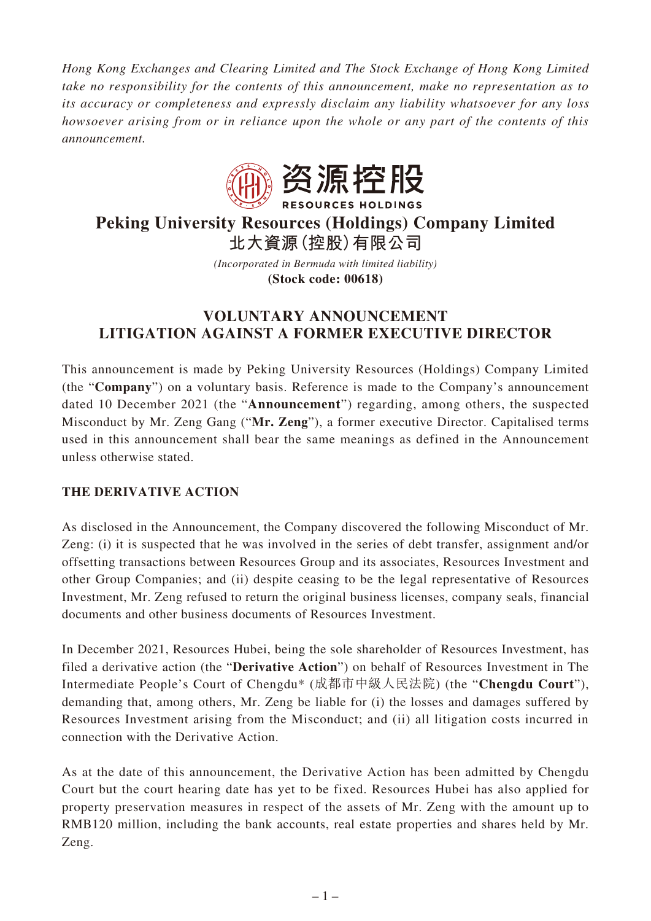*Hong Kong Exchanges and Clearing Limited and The Stock Exchange of Hong Kong Limited take no responsibility for the contents of this announcement, make no representation as to its accuracy or completeness and expressly disclaim any liability whatsoever for any loss howsoever arising from or in reliance upon the whole or any part of the contents of this announcement.*



# **Peking University Resources (Holdings) Company Limited 北大資源(控股)有限公司**

*(Incorporated in Bermuda with limited liability)* **(Stock code: 00618)**

## **VOLUNTARY ANNOUNCEMENT LITIGATION AGAINST A FORMER EXECUTIVE DIRECTOR**

This announcement is made by Peking University Resources (Holdings) Company Limited (the "**Company**") on a voluntary basis. Reference is made to the Company's announcement dated 10 December 2021 (the "**Announcement**") regarding, among others, the suspected Misconduct by Mr. Zeng Gang ("**Mr. Zeng**"), a former executive Director. Capitalised terms used in this announcement shall bear the same meanings as defined in the Announcement unless otherwise stated.

## **THE DERIVATIVE ACTION**

As disclosed in the Announcement, the Company discovered the following Misconduct of Mr. Zeng: (i) it is suspected that he was involved in the series of debt transfer, assignment and/or offsetting transactions between Resources Group and its associates, Resources Investment and other Group Companies; and (ii) despite ceasing to be the legal representative of Resources Investment, Mr. Zeng refused to return the original business licenses, company seals, financial documents and other business documents of Resources Investment.

In December 2021, Resources Hubei, being the sole shareholder of Resources Investment, has filed a derivative action (the "**Derivative Action**") on behalf of Resources Investment in The Intermediate People's Court of Chengdu\* (成都市中級人民法院) (the "**Chengdu Court**"), demanding that, among others, Mr. Zeng be liable for (i) the losses and damages suffered by Resources Investment arising from the Misconduct; and (ii) all litigation costs incurred in connection with the Derivative Action.

As at the date of this announcement, the Derivative Action has been admitted by Chengdu Court but the court hearing date has yet to be fixed. Resources Hubei has also applied for property preservation measures in respect of the assets of Mr. Zeng with the amount up to RMB120 million, including the bank accounts, real estate properties and shares held by Mr. Zeng.